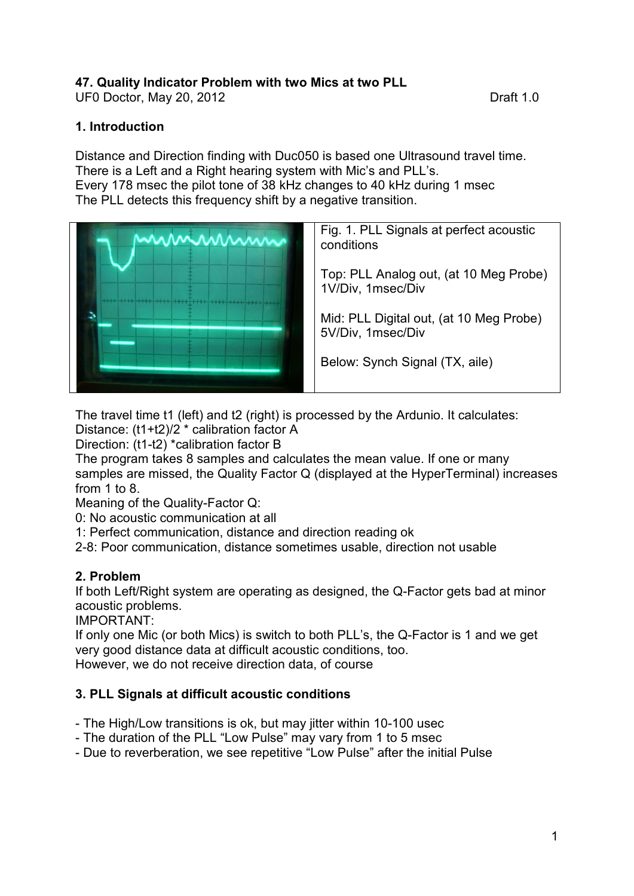# **47. Quality Indicator Problem with two Mics at two PLL**

UF0 Doctor, May 20, 2012 UF0 Draft 1.0

#### **1. Introduction**

Distance and Direction finding with Duc050 is based one Ultrasound travel time. There is a Left and a Right hearing system with Mic's and PLL's. Every 178 msec the pilot tone of 38 kHz changes to 40 kHz during 1 msec The PLL detects this frequency shift by a negative transition.



Fig. 1. PLL Signals at perfect acoustic conditions

Top: PLL Analog out, (at 10 Meg Probe) 1V/Div, 1msec/Div

Mid: PLL Digital out, (at 10 Meg Probe) 5V/Div, 1msec/Div

Below: Synch Signal (TX, aile)

The travel time t1 (left) and t2 (right) is processed by the Ardunio. It calculates: Distance: (t1+t2)/2 \* calibration factor A

Direction: (t1-t2) \*calibration factor B

The program takes 8 samples and calculates the mean value. If one or many samples are missed, the Quality Factor Q (displayed at the HyperTerminal) increases from 1 to 8.

Meaning of the Quality-Factor Q:

0: No acoustic communication at all

1: Perfect communication, distance and direction reading ok

2-8: Poor communication, distance sometimes usable, direction not usable

# **2. Problem**

If both Left/Right system are operating as designed, the Q-Factor gets bad at minor acoustic problems.

IMPORTANT:

If only one Mic (or both Mics) is switch to both PLL's, the Q-Factor is 1 and we get very good distance data at difficult acoustic conditions, too. However, we do not receive direction data, of course

# **3. PLL Signals at difficult acoustic conditions**

- The High/Low transitions is ok, but may jitter within 10-100 usec

- The duration of the PLL "Low Pulse" may vary from 1 to 5 msec
- Due to reverberation, we see repetitive "Low Pulse" after the initial Pulse